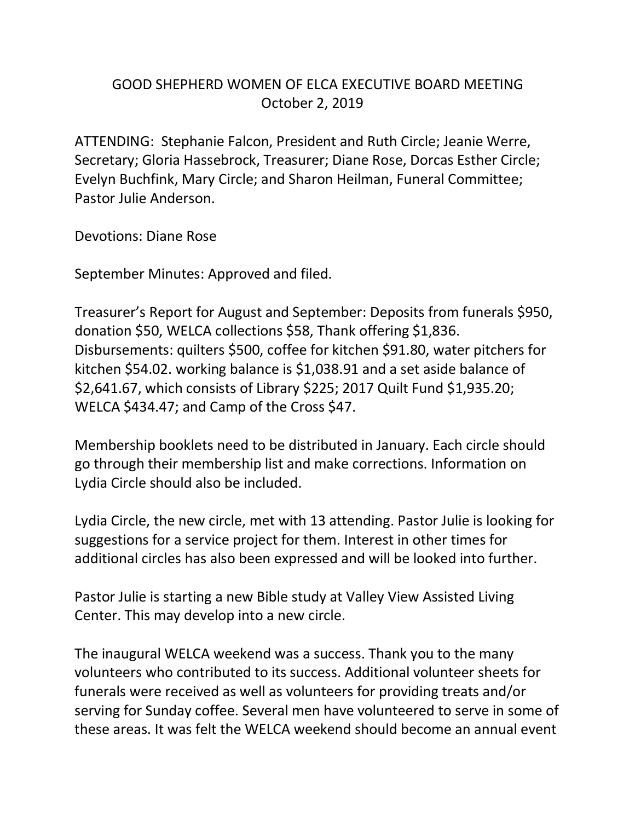## GOOD SHEPHERD WOMEN OF ELCA EXECUTIVE BOARD MEETING October 2, 2019

ATTENDING: Stephanie Falcon, President and Ruth Circle; Jeanie Werre, Secretary; Gloria Hassebrock, Treasurer; Diane Rose, Dorcas Esther Circle; Evelyn Buchfink, Mary Circle; and Sharon Heilman, Funeral Committee; Pastor Julie Anderson.

Devotions: Diane Rose

September Minutes: Approved and filed.

Treasurer's Report for August and September: Deposits from funerals \$950, donation \$50, WELCA collections \$58, Thank offering \$1,836. Disbursements: quilters \$500, coffee for kitchen \$91.80, water pitchers for kitchen \$54.02. working balance is \$1,038.91 and a set aside balance of \$2,641.67, which consists of Library \$225; 2017 Quilt Fund \$1,935.20; WELCA \$434.47; and Camp of the Cross \$47.

Membership booklets need to be distributed in January. Each circle should go through their membership list and make corrections. Information on Lydia Circle should also be included.

Lydia Circle, the new circle, met with 13 attending. Pastor Julie is looking for suggestions for a service project for them. Interest in other times for additional circles has also been expressed and will be looked into further.

Pastor Julie is starting a new Bible study at Valley View Assisted Living Center. This may develop into a new circle.

The inaugural WELCA weekend was a success. Thank you to the many volunteers who contributed to its success. Additional volunteer sheets for funerals were received as well as volunteers for providing treats and/or serving for Sunday coffee. Several men have volunteered to serve in some of these areas. It was felt the WELCA weekend should become an annual event